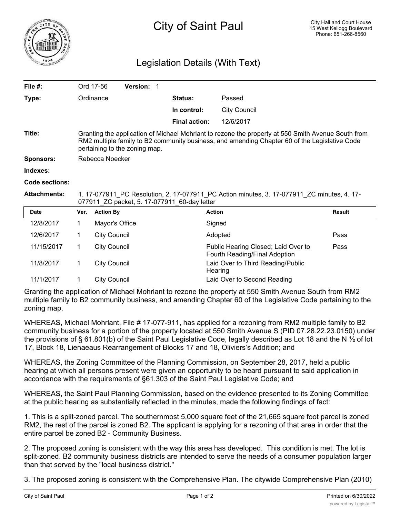

## Legislation Details (With Text)

| File #:             |                                                                                                                                                                                                                                      | Ord 17-56           | <b>Version: 1</b> |                      |                                                                      |               |
|---------------------|--------------------------------------------------------------------------------------------------------------------------------------------------------------------------------------------------------------------------------------|---------------------|-------------------|----------------------|----------------------------------------------------------------------|---------------|
| Type:               | Ordinance                                                                                                                                                                                                                            |                     |                   | Status:              | Passed                                                               |               |
|                     |                                                                                                                                                                                                                                      |                     |                   | In control:          | <b>City Council</b>                                                  |               |
|                     |                                                                                                                                                                                                                                      |                     |                   | <b>Final action:</b> | 12/6/2017                                                            |               |
| Title:              | Granting the application of Michael Mohrlant to rezone the property at 550 Smith Avenue South from<br>RM2 multiple family to B2 community business, and amending Chapter 60 of the Legislative Code<br>pertaining to the zoning map. |                     |                   |                      |                                                                      |               |
| <b>Sponsors:</b>    | Rebecca Noecker                                                                                                                                                                                                                      |                     |                   |                      |                                                                      |               |
| Indexes:            |                                                                                                                                                                                                                                      |                     |                   |                      |                                                                      |               |
| Code sections:      |                                                                                                                                                                                                                                      |                     |                   |                      |                                                                      |               |
| <b>Attachments:</b> | 1. 17-077911_PC Resolution, 2. 17-077911_PC Action minutes, 3. 17-077911_ZC minutes, 4. 17-<br>077911 ZC packet, 5. 17-077911 60-day letter                                                                                          |                     |                   |                      |                                                                      |               |
| <b>Date</b>         | Ver.                                                                                                                                                                                                                                 | <b>Action By</b>    |                   |                      | <b>Action</b>                                                        | <b>Result</b> |
| 12/8/2017           | 1                                                                                                                                                                                                                                    | Mayor's Office      |                   |                      | Signed                                                               |               |
| 12/6/2017           | 1                                                                                                                                                                                                                                    | <b>City Council</b> |                   |                      | Adopted                                                              | Pass          |
| 11/15/2017          | 1                                                                                                                                                                                                                                    | <b>City Council</b> |                   |                      | Public Hearing Closed; Laid Over to<br>Fourth Reading/Final Adoption | Pass          |
| 11/8/2017           | 1                                                                                                                                                                                                                                    | <b>City Council</b> |                   |                      | Laid Over to Third Reading/Public<br>Hearing                         |               |

Granting the application of Michael Mohrlant to rezone the property at 550 Smith Avenue South from RM2 multiple family to B2 community business, and amending Chapter 60 of the Legislative Code pertaining to the zoning map.

11/1/2017 1 City Council Laid Over to Second Reading

WHEREAS, Michael Mohrlant, File # 17-077-911, has applied for a rezoning from RM2 multiple family to B2 community business for a portion of the property located at 550 Smith Avenue S (PID 07.28.22.23.0150) under the provisions of § 61.801(b) of the Saint Paul Legislative Code, legally described as Lot 18 and the N ½ of lot 17, Block 18, Lienaeaus Rearrangement of Blocks 17 and 18, Oliviers's Addition; and

WHEREAS, the Zoning Committee of the Planning Commission, on September 28, 2017, held a public hearing at which all persons present were given an opportunity to be heard pursuant to said application in accordance with the requirements of §61.303 of the Saint Paul Legislative Code; and

WHEREAS, the Saint Paul Planning Commission, based on the evidence presented to its Zoning Committee at the public hearing as substantially reflected in the minutes, made the following findings of fact:

1. This is a split-zoned parcel. The southernmost 5,000 square feet of the 21,665 square foot parcel is zoned RM2, the rest of the parcel is zoned B2. The applicant is applying for a rezoning of that area in order that the entire parcel be zoned B2 - Community Business.

2. The proposed zoning is consistent with the way this area has developed. This condition is met. The lot is split-zoned. B2 community business districts are intended to serve the needs of a consumer population larger than that served by the "local business district."

3. The proposed zoning is consistent with the Comprehensive Plan. The citywide Comprehensive Plan (2010)